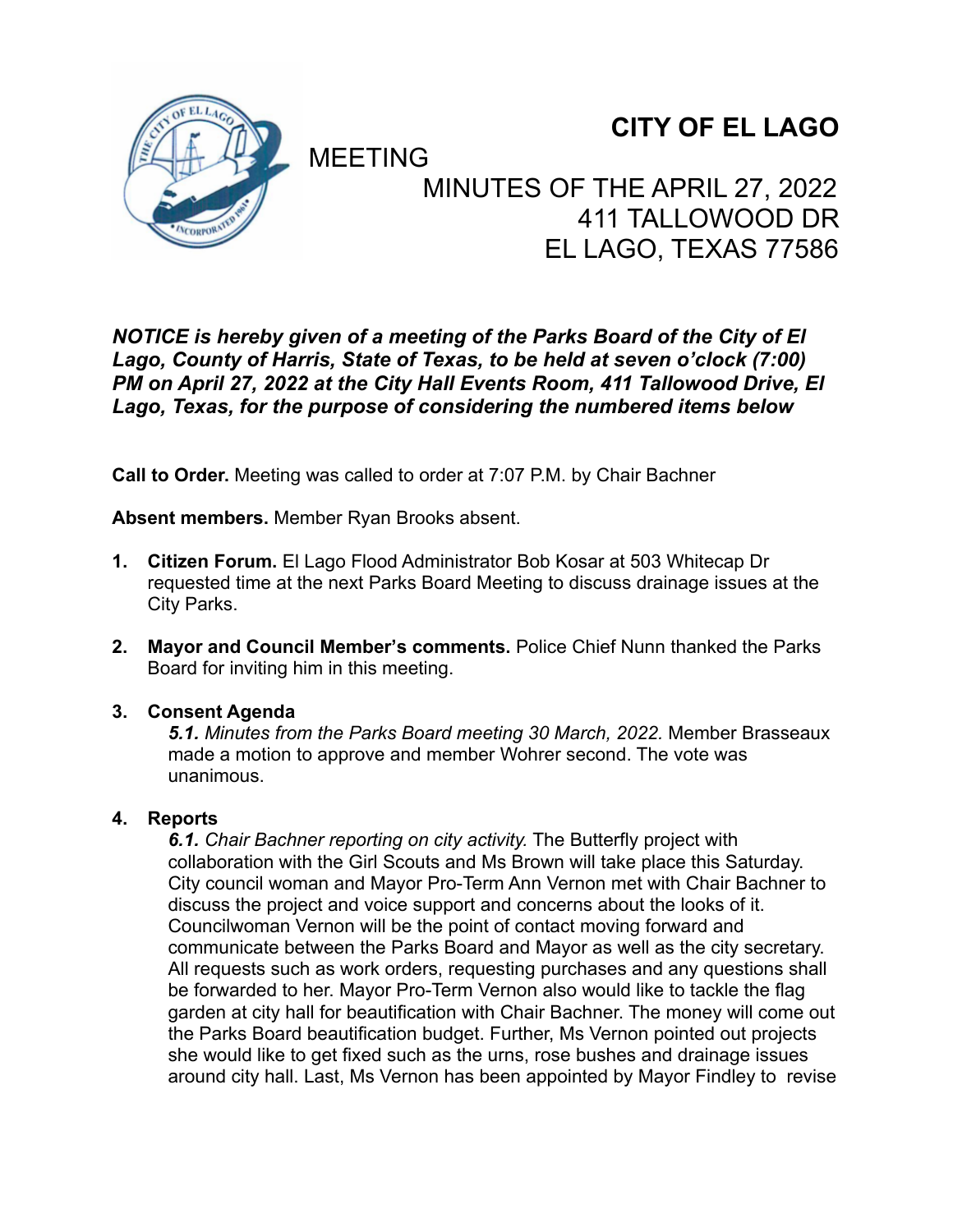

# **CITY OF EL LAGO**

# **MEETING** MINUTES OF THE APRIL 27, 2022 411 TALLOWOOD DR EL LAGO, TEXAS 77586

## *NOTICE is hereby given of a meeting of the Parks Board of the City of El Lago, County of Harris, State of Texas, to be held at seven o'clock (7:00) PM on April 27, 2022 at the City Hall Events Room, 411 Tallowood Drive, El Lago, Texas, for the purpose of considering the numbered items below*

**Call to Order.** Meeting was called to order at 7:07 P.M. by Chair Bachner

**Absent members.** Member Ryan Brooks absent.

- **1. Citizen Forum.** El Lago Flood Administrator Bob Kosar at 503 Whitecap Dr requested time at the next Parks Board Meeting to discuss drainage issues at the City Parks.
- **2. Mayor and Council Member's comments.** Police Chief Nunn thanked the Parks Board for inviting him in this meeting.

### **3. Consent Agenda**

*5.1. Minutes from the Parks Board meeting 30 March, 2022.* Member Brasseaux made a motion to approve and member Wohrer second. The vote was unanimous.

### **4. Reports**

*6.1. Chair Bachner reporting on city activity.* The Butterfly project with collaboration with the Girl Scouts and Ms Brown will take place this Saturday. City council woman and Mayor Pro-Term Ann Vernon met with Chair Bachner to discuss the project and voice support and concerns about the looks of it. Councilwoman Vernon will be the point of contact moving forward and communicate between the Parks Board and Mayor as well as the city secretary. All requests such as work orders, requesting purchases and any questions shall be forwarded to her. Mayor Pro-Term Vernon also would like to tackle the flag garden at city hall for beautification with Chair Bachner. The money will come out the Parks Board beautification budget. Further, Ms Vernon pointed out projects she would like to get fixed such as the urns, rose bushes and drainage issues around city hall. Last, Ms Vernon has been appointed by Mayor Findley to revise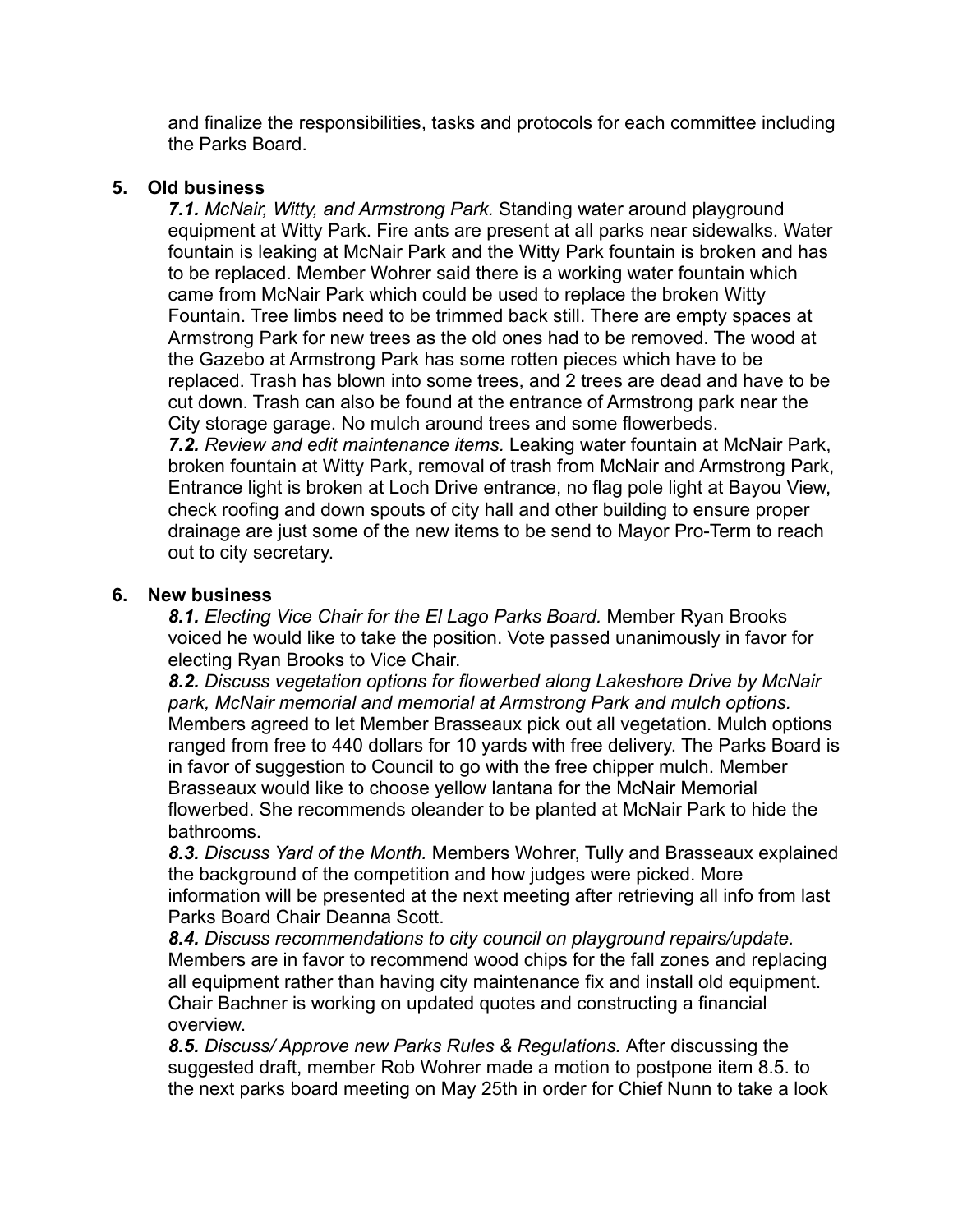and finalize the responsibilities, tasks and protocols for each committee including the Parks Board.

#### **5. Old business**

*7.1. McNair, Witty, and Armstrong Park.* Standing water around playground equipment at Witty Park. Fire ants are present at all parks near sidewalks. Water fountain is leaking at McNair Park and the Witty Park fountain is broken and has to be replaced. Member Wohrer said there is a working water fountain which came from McNair Park which could be used to replace the broken Witty Fountain. Tree limbs need to be trimmed back still. There are empty spaces at Armstrong Park for new trees as the old ones had to be removed. The wood at the Gazebo at Armstrong Park has some rotten pieces which have to be replaced. Trash has blown into some trees, and 2 trees are dead and have to be cut down. Trash can also be found at the entrance of Armstrong park near the City storage garage. No mulch around trees and some flowerbeds. *7.2. Review and edit maintenance items.* Leaking water fountain at McNair Park, broken fountain at Witty Park, removal of trash from McNair and Armstrong Park, Entrance light is broken at Loch Drive entrance, no flag pole light at Bayou View,

check roofing and down spouts of city hall and other building to ensure proper drainage are just some of the new items to be send to Mayor Pro-Term to reach out to city secretary.

#### **6. New business**

*8.1. Electing Vice Chair for the El Lago Parks Board.* Member Ryan Brooks voiced he would like to take the position. Vote passed unanimously in favor for electing Ryan Brooks to Vice Chair.

*8.2. Discuss vegetation options for flowerbed along Lakeshore Drive by McNair park, McNair memorial and memorial at Armstrong Park and mulch options.*  Members agreed to let Member Brasseaux pick out all vegetation. Mulch options ranged from free to 440 dollars for 10 yards with free delivery. The Parks Board is in favor of suggestion to Council to go with the free chipper mulch. Member Brasseaux would like to choose yellow lantana for the McNair Memorial flowerbed. She recommends oleander to be planted at McNair Park to hide the bathrooms.

*8.3. Discuss Yard of the Month.* Members Wohrer, Tully and Brasseaux explained the background of the competition and how judges were picked. More information will be presented at the next meeting after retrieving all info from last Parks Board Chair Deanna Scott.

*8.4. Discuss recommendations to city council on playground repairs/update.* Members are in favor to recommend wood chips for the fall zones and replacing all equipment rather than having city maintenance fix and install old equipment. Chair Bachner is working on updated quotes and constructing a financial overview.

*8.5. Discuss/ Approve new Parks Rules & Regulations.* After discussing the suggested draft, member Rob Wohrer made a motion to postpone item 8.5. to the next parks board meeting on May 25th in order for Chief Nunn to take a look